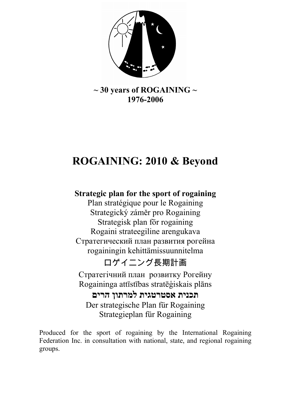

### $\sim$  30 years of ROGAINING  $\sim$ 1976-2006

# ROGAINING: 2010 & Beyond

## Strategic plan for the sport of rogaining

Plan stratégique pour le Rogaining Strategický záměr pro Rogaining Strategisk plan för rogaining Rogaini strateegiline arengukava Стратегический план развития рогейна rogainingin kehittämissuunnitelma

## ロゲイニング長期計画

Стратегічний план розвитку Рогейну Rogaininga attīstības stratēģiskais plāns

תכנית אסטרטגית למרתון הרים Der strategische Plan für Rogaining Strategieplan für Rogaining

Produced for the sport of rogaining by the International Rogaining Federation Inc. in consultation with national, state, and regional rogaining groups.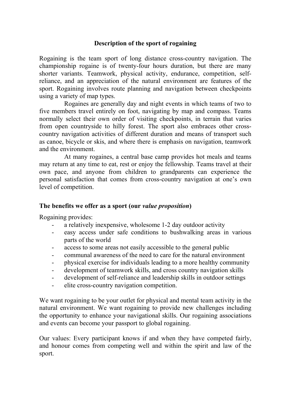#### Description of the sport of rogaining

Rogaining is the team sport of long distance cross-country navigation. The championship rogaine is of twenty-four hours duration, but there are many shorter variants. Teamwork, physical activity, endurance, competition, selfreliance, and an appreciation of the natural environment are features of the sport. Rogaining involves route planning and navigation between checkpoints using a variety of map types.

Rogaines are generally day and night events in which teams of two to five members travel entirely on foot, navigating by map and compass. Teams normally select their own order of visiting checkpoints, in terrain that varies from open countryside to hilly forest. The sport also embraces other crosscountry navigation activities of different duration and means of transport such as canoe, bicycle or skis, and where there is emphasis on navigation, teamwork and the environment.

At many rogaines, a central base camp provides hot meals and teams may return at any time to eat, rest or enjoy the fellowship. Teams travel at their own pace, and anyone from children to grandparents can experience the personal satisfaction that comes from cross-country navigation at one's own level of competition.

#### The benefits we offer as a sport (our value proposition)

Rogaining provides:

- a relatively inexpensive, wholesome 1-2 day outdoor activity
- easy access under safe conditions to bushwalking areas in various parts of the world
- access to some areas not easily accessible to the general public
- communal awareness of the need to care for the natural environment
- physical exercise for individuals leading to a more healthy community
- development of teamwork skills, and cross country navigation skills
- development of self-reliance and leadership skills in outdoor settings
- elite cross-country navigation competition.

We want rogaining to be your outlet for physical and mental team activity in the natural environment. We want rogaining to provide new challenges including the opportunity to enhance your navigational skills. Our rogaining associations and events can become your passport to global rogaining.

Our values: Every participant knows if and when they have competed fairly, and honour comes from competing well and within the spirit and law of the sport.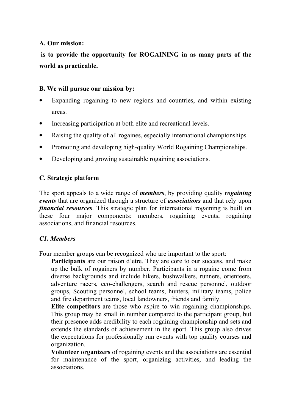#### A. Our mission:

 is to provide the opportunity for ROGAINING in as many parts of the world as practicable.

#### B. We will pursue our mission by:

- Expanding rogaining to new regions and countries, and within existing areas.
- Increasing participation at both elite and recreational levels.
- Raising the quality of all rogaines, especially international championships.
- Promoting and developing high-quality World Rogaining Championships.
- Developing and growing sustainable rogaining associations.

#### C. Strategic platform

The sport appeals to a wide range of *members*, by providing quality *rogaining* events that are organized through a structure of *associations* and that rely upon financial resources. This strategic plan for international rogaining is built on these four major components: members, rogaining events, rogaining associations, and financial resources.

#### C1. Members

Four member groups can be recognized who are important to the sport:

Participants are our raison d'etre. They are core to our success, and make up the bulk of rogainers by number. Participants in a rogaine come from diverse backgrounds and include hikers, bushwalkers, runners, orienteers, adventure racers, eco-challengers, search and rescue personnel, outdoor groups, Scouting personnel, school teams, hunters, military teams, police and fire department teams, local landowners, friends and family.

Elite competitors are those who aspire to win rogaining championships. This group may be small in number compared to the participant group, but their presence adds credibility to each rogaining championship and sets and extends the standards of achievement in the sport. This group also drives the expectations for professionally run events with top quality courses and organization.

Volunteer organizers of rogaining events and the associations are essential for maintenance of the sport, organizing activities, and leading the associations.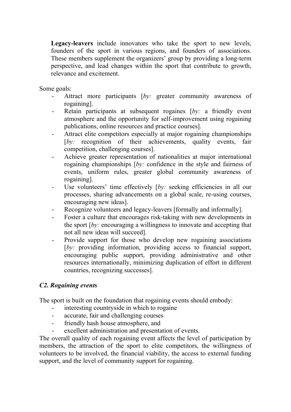Legacy-leavers include innovators who take the sport to new levels. founders of the sport in various regions, and founders of associations. These members supplement the organizers' group by providing a long-term perspective, and lead changes within the sport that contribute to growth, relevance and excitement.

Some goals:

- Attract more participants [by: greater community awareness of rogaining].
- Retain participants at subsequent rogaines  $[by: a$  friendly event atmosphere and the opportunity for self-improvement using rogaining publications, online resources and practice courses].
- Attract elite competitors especially at major rogaining championships [by: recognition of their achievements, quality events, fair competition, challenging courses].
- Achieve greater representation of nationalities at major international rogaining championships  $[by:$  confidence in the style and fairness of events, uniform rules, greater global community awareness of rogaining].
- Use volunteers' time effectively  $[by:$  seeking efficiencies in all our processes, sharing advancements on a global scale, re-using courses, encouraging new ideas].
- Recognize volunteers and legacy-leavers [formally and informally].
- Foster a culture that encourages risk-taking with new developments in the sport  $[by:$  encouraging a willingness to innovate and accepting that not all new ideas will succeed].
- Provide support for those who develop new rogaining associations [by: providing information, providing access to financial support, encouraging public support, providing administrative and other resources internationally, minimizing duplication of effort in different countries, recognizing successes].

#### C2. Rogaining events

The sport is built on the foundation that rogaining events should embody:

- interesting countryside in which to rogaine
- accurate, fair and challenging courses
- friendly hash house atmosphere, and
- excellent administration and presentation of events.

The overall quality of each rogaining event affects the level of participation by members, the attraction of the sport to elite competitors, the willingness of volunteers to be involved, the financial viability, the access to external funding support, and the level of community support for rogaining.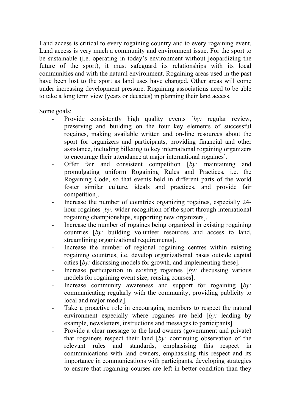Land access is critical to every rogaining country and to every rogaining event. Land access is very much a community and environment issue. For the sport to be sustainable (i.e. operating in today's environment without jeopardizing the future of the sport), it must safeguard its relationships with its local communities and with the natural environment. Rogaining areas used in the past have been lost to the sport as land uses have changed. Other areas will come under increasing development pressure. Rogaining associations need to be able to take a long term view (years or decades) in planning their land access.

Some goals:

- Provide consistently high quality events [by: regular review, preserving and building on the four key elements of successful rogaines, making available written and on-line resources about the sport for organizers and participants, providing financial and other assistance, including billeting to key international rogaining organizers to encourage their attendance at major international rogaines].
- Offer fair and consistent competition  $[by:$  maintaining and promulgating uniform Rogaining Rules and Practices, i.e. the Rogaining Code, so that events held in different parts of the world foster similar culture, ideals and practices, and provide fair competition].
- Increase the number of countries organizing rogaines, especially 24hour rogaines [by: wider recognition of the sport through international rogaining championships, supporting new organizers].
- Increase the number of rogaines being organized in existing rogaining countries [by: building volunteer resources and access to land, streamlining organizational requirements].
- Increase the number of regional rogaining centres within existing rogaining countries, i.e. develop organizational bases outside capital cities [by: discussing models for growth, and implementing these].
- Increase participation in existing rogaines  $[by:$  discussing various models for rogaining event size, reusing courses].
- Increase community awareness and support for rogaining  $[by:$ communicating regularly with the community, providing publicity to local and major media].
- Take a proactive role in encouraging members to respect the natural environment especially where rogaines are held [by: leading by example, newsletters, instructions and messages to participants].
- Provide a clear message to the land owners (government and private) that rogainers respect their land  $[by:$  continuing observation of the relevant rules and standards, emphasising this respect in communications with land owners, emphasising this respect and its importance in communications with participants, developing strategies to ensure that rogaining courses are left in better condition than they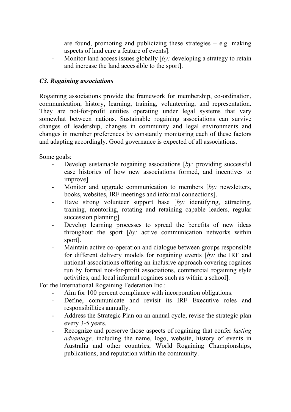are found, promoting and publicizing these strategies  $-$  e.g. making aspects of land care a feature of events].

- Monitor land access issues globally  $\lceil bv \rceil$  developing a strategy to retain and increase the land accessible to the sport].

#### C3. Rogaining associations

Rogaining associations provide the framework for membership, co-ordination, communication, history, learning, training, volunteering, and representation. They are not-for-profit entities operating under legal systems that vary somewhat between nations. Sustainable rogaining associations can survive changes of leadership, changes in community and legal environments and changes in member preferences by constantly monitoring each of these factors and adapting accordingly. Good governance is expected of all associations.

Some goals:

- Develop sustainable rogaining associations  $[by:$  providing successful case histories of how new associations formed, and incentives to improve].
- Monitor and upgrade communication to members  $[by:$  newsletters, books, websites, IRF meetings and informal connections].
- Have strong volunteer support base [by: identifying, attracting, training, mentoring, rotating and retaining capable leaders, regular succession planning].
- Develop learning processes to spread the benefits of new ideas throughout the sport [by: active communication networks within sport].
- Maintain active co-operation and dialogue between groups responsible for different delivery models for rogaining events [by: the IRF and national associations offering an inclusive approach covering rogaines run by formal not-for-profit associations, commercial rogaining style activities, and local informal rogaines such as within a school].

For the International Rogaining Federation Inc.:

- Aim for 100 percent compliance with incorporation obligations.
- Define, communicate and revisit its IRF Executive roles and responsibilities annually.
- Address the Strategic Plan on an annual cycle, revise the strategic plan every 3-5 years.
- Recognize and preserve those aspects of rogaining that confer *lasting* advantage, including the name, logo, website, history of events in Australia and other countries, World Rogaining Championships, publications, and reputation within the community.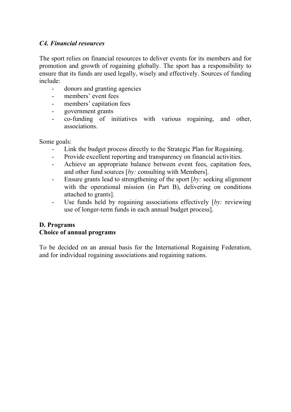#### C4. Financial resources

The sport relies on financial resources to deliver events for its members and for promotion and growth of rogaining globally. The sport has a responsibility to ensure that its funds are used legally, wisely and effectively. Sources of funding include:

- donors and granting agencies
- members' event fees
- members' capitation fees
- government grants
- co-funding of initiatives with various rogaining, and other, associations.

Some goals:

- Link the budget process directly to the Strategic Plan for Rogaining.
- Provide excellent reporting and transparency on financial activities.
- Achieve an appropriate balance between event fees, capitation fees, and other fund sources [by: consulting with Members].
- Ensure grants lead to strengthening of the sport  $[by:$  seeking alignment with the operational mission (in Part B), delivering on conditions attached to grants].
- Use funds held by rogaining associations effectively [by: reviewing] use of longer-term funds in each annual budget process].

#### D. Programs

#### Choice of annual programs

To be decided on an annual basis for the International Rogaining Federation, and for individual rogaining associations and rogaining nations.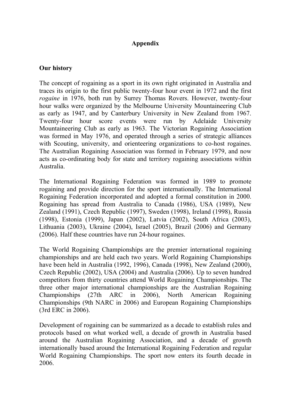#### Appendix

#### Our history

The concept of rogaining as a sport in its own right originated in Australia and traces its origin to the first public twenty-four hour event in 1972 and the first rogaine in 1976, both run by Surrey Thomas Rovers. However, twenty-four hour walks were organized by the Melbourne University Mountaineering Club as early as 1947, and by Canterbury University in New Zealand from 1967. Twenty-four hour score events were run by Adelaide University Mountaineering Club as early as 1963. The Victorian Rogaining Association was formed in May 1976, and operated through a series of strategic alliances with Scouting, university, and orienteering organizations to co-host rogaines. The Australian Rogaining Association was formed in February 1979, and now acts as co-ordinating body for state and territory rogaining associations within Australia.

The International Rogaining Federation was formed in 1989 to promote rogaining and provide direction for the sport internationally. The International Rogaining Federation incorporated and adopted a formal constitution in 2000. Rogaining has spread from Australia to Canada (1986), USA (1989), New Zealand (1991), Czech Republic (1997), Sweden (1998), Ireland (1998), Russia (1998), Estonia (1999), Japan (2002), Latvia (2002), South Africa (2003), Lithuania (2003), Ukraine (2004), Israel (2005), Brazil (2006) and Germany (2006). Half these countries have run 24-hour rogaines.

The World Rogaining Championships are the premier international rogaining championships and are held each two years. World Rogaining Championships have been held in Australia (1992, 1996), Canada (1998), New Zealand (2000), Czech Republic (2002), USA (2004) and Australia (2006). Up to seven hundred competitors from thirty countries attend World Rogaining Championships. The three other major international championships are the Australian Rogaining Championships (27th ARC in 2006), North American Rogaining Championships (9th NARC in 2006) and European Rogaining Championships (3rd ERC in 2006).

Development of rogaining can be summarized as a decade to establish rules and protocols based on what worked well, a decade of growth in Australia based around the Australian Rogaining Association, and a decade of growth internationally based around the International Rogaining Federation and regular World Rogaining Championships. The sport now enters its fourth decade in 2006.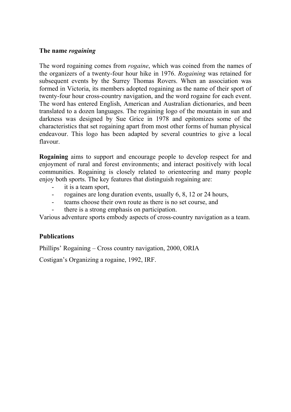#### The name rogaining

The word rogaining comes from rogaine, which was coined from the names of the organizers of a twenty-four hour hike in 1976. Rogaining was retained for subsequent events by the Surrey Thomas Rovers. When an association was formed in Victoria, its members adopted rogaining as the name of their sport of twenty-four hour cross-country navigation, and the word rogaine for each event. The word has entered English, American and Australian dictionaries, and been translated to a dozen languages. The rogaining logo of the mountain in sun and darkness was designed by Sue Grice in 1978 and epitomizes some of the characteristics that set rogaining apart from most other forms of human physical endeavour. This logo has been adapted by several countries to give a local flavour.

Rogaining aims to support and encourage people to develop respect for and enjoyment of rural and forest environments; and interact positively with local communities. Rogaining is closely related to orienteering and many people enjoy both sports. The key features that distinguish rogaining are:

- it is a team sport,
- rogaines are long duration events, usually 6, 8, 12 or 24 hours,
- teams choose their own route as there is no set course, and
- there is a strong emphasis on participation.

Various adventure sports embody aspects of cross-country navigation as a team.

#### **Publications**

Phillips' Rogaining – Cross country navigation, 2000, ORIA

Costigan's Organizing a rogaine, 1992, IRF.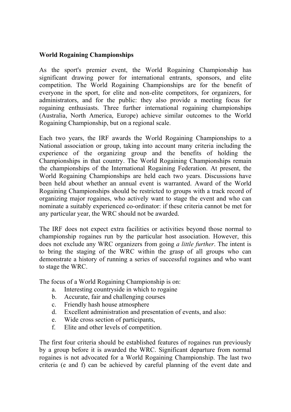#### World Rogaining Championships

As the sport's premier event, the World Rogaining Championship has significant drawing power for international entrants, sponsors, and elite competition. The World Rogaining Championships are for the benefit of everyone in the sport, for elite and non-elite competitors, for organizers, for administrators, and for the public: they also provide a meeting focus for rogaining enthusiasts. Three further international rogaining championships (Australia, North America, Europe) achieve similar outcomes to the World Rogaining Championship, but on a regional scale.

Each two years, the IRF awards the World Rogaining Championships to a National association or group, taking into account many criteria including the experience of the organizing group and the benefits of holding the Championships in that country. The World Rogaining Championships remain the championships of the International Rogaining Federation. At present, the World Rogaining Championships are held each two years. Discussions have been held about whether an annual event is warranted. Award of the World Rogaining Championships should be restricted to groups with a track record of organizing major rogaines, who actively want to stage the event and who can nominate a suitably experienced co-ordinator: if these criteria cannot be met for any particular year, the WRC should not be awarded.

The IRF does not expect extra facilities or activities beyond those normal to championship rogaines run by the particular host association. However, this does not exclude any WRC organizers from going a little further. The intent is to bring the staging of the WRC within the grasp of all groups who can demonstrate a history of running a series of successful rogaines and who want to stage the WRC.

The focus of a World Rogaining Championship is on:

- a. Interesting countryside in which to rogaine
- b. Accurate, fair and challenging courses
- c. Friendly hash house atmosphere
- d. Excellent administration and presentation of events, and also:
- e. Wide cross section of participants,
- f. Elite and other levels of competition.

The first four criteria should be established features of rogaines run previously by a group before it is awarded the WRC. Significant departure from normal rogaines is not advocated for a World Rogaining Championship. The last two criteria (e and f) can be achieved by careful planning of the event date and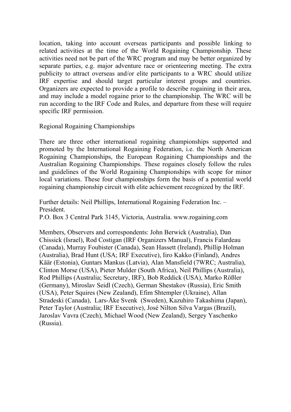location, taking into account overseas participants and possible linking to related activities at the time of the World Rogaining Championship. These activities need not be part of the WRC program and may be better organized by separate parties, e.g. major adventure race or orienteering meeting. The extra publicity to attract overseas and/or elite participants to a WRC should utilize IRF expertise and should target particular interest groups and countries. Organizers are expected to provide a profile to describe rogaining in their area, and may include a model rogaine prior to the championship. The WRC will be run according to the IRF Code and Rules, and departure from these will require specific IRF permission.

Regional Rogaining Championships

There are three other international rogaining championships supported and promoted by the International Rogaining Federation, i.e. the North American Rogaining Championships, the European Rogaining Championships and the Australian Rogaining Championships. These rogaines closely follow the rules and guidelines of the World Rogaining Championships with scope for minor local variations. These four championships form the basis of a potential world rogaining championship circuit with elite achievement recognized by the IRF.

Further details: Neil Phillips, International Rogaining Federation Inc. – President.

P.O. Box 3 Central Park 3145, Victoria, Australia. www.rogaining.com

Members, Observers and correspondents: John Berwick (Australia), Dan Chissick (Israel), Rod Costigan (IRF Organizers Manual), Francis Falardeau (Canada), Murray Foubister (Canada), Sean Hassett (Ireland), Phillip Holman (Australia), Brad Hunt (USA; IRF Executive), Iiro Kakko (Finland), Andres Käär (Estonia), Guntars Mankus (Latvia), Alan Mansfield (7WRC; Australia), Clinton Morse (USA), Pieter Mulder (South Africa), Neil Phillips (Australia), Rod Phillips (Australia; Secretary, IRF), Bob Reddick (USA), Marko Rößler (Germany), Miroslav Seidl (Czech), German Shestakov (Russia), Eric Smith (USA), Peter Squires (New Zealand), Efim Shtempler (Ukraine), Allan Stradeski (Canada), Lars-Åke Svenk (Sweden), Kazuhiro Takashima (Japan), Peter Taylor (Australia; IRF Executive), José Nilton Silva Vargas (Brazil), Jaroslav Vavra (Czech), Michael Wood (New Zealand), Sergey Yaschenko (Russia).